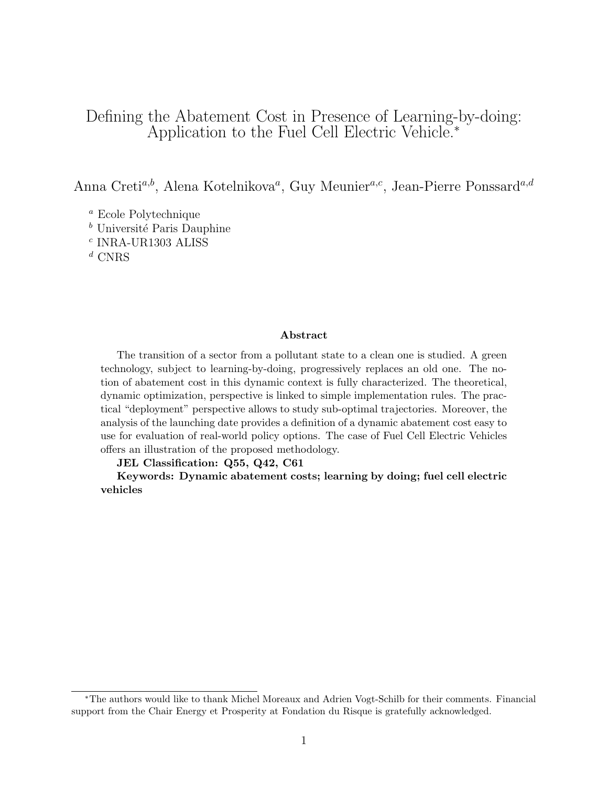# Defining the Abatement Cost in Presence of Learning-by-doing: Application to the Fuel Cell Electric Vehicle.<sup>∗</sup>

Anna Creti<sup>a,b</sup>, Alena Kotelnikova<sup>a</sup>, Guy Meunier<sup>a,c</sup>, Jean-Pierre Ponssard<sup>a,d</sup>

<sup>a</sup> Ecole Polytechnique

 $<sup>b</sup>$  Université Paris Dauphine</sup>

 $^c$  INRA-UR1303 ALISS

 $d$  CNRS

#### Abstract

The transition of a sector from a pollutant state to a clean one is studied. A green technology, subject to learning-by-doing, progressively replaces an old one. The notion of abatement cost in this dynamic context is fully characterized. The theoretical, dynamic optimization, perspective is linked to simple implementation rules. The practical "deployment" perspective allows to study sub-optimal trajectories. Moreover, the analysis of the launching date provides a definition of a dynamic abatement cost easy to use for evaluation of real-world policy options. The case of Fuel Cell Electric Vehicles offers an illustration of the proposed methodology.

JEL Classification: Q55, Q42, C61

Keywords: Dynamic abatement costs; learning by doing; fuel cell electric vehicles

<sup>∗</sup>The authors would like to thank Michel Moreaux and Adrien Vogt-Schilb for their comments. Financial support from the Chair Energy et Prosperity at Fondation du Risque is gratefully acknowledged.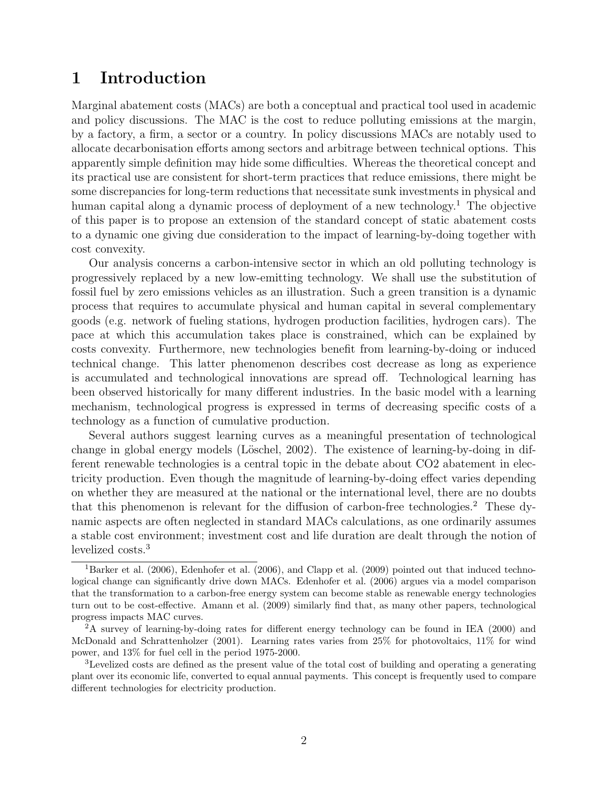# 1 Introduction

Marginal abatement costs (MACs) are both a conceptual and practical tool used in academic and policy discussions. The MAC is the cost to reduce polluting emissions at the margin, by a factory, a firm, a sector or a country. In policy discussions MACs are notably used to allocate decarbonisation efforts among sectors and arbitrage between technical options. This apparently simple definition may hide some difficulties. Whereas the theoretical concept and its practical use are consistent for short-term practices that reduce emissions, there might be some discrepancies for long-term reductions that necessitate sunk investments in physical and human capital along a dynamic process of deployment of a new technology.<sup>1</sup> The objective of this paper is to propose an extension of the standard concept of static abatement costs to a dynamic one giving due consideration to the impact of learning-by-doing together with cost convexity.

Our analysis concerns a carbon-intensive sector in which an old polluting technology is progressively replaced by a new low-emitting technology. We shall use the substitution of fossil fuel by zero emissions vehicles as an illustration. Such a green transition is a dynamic process that requires to accumulate physical and human capital in several complementary goods (e.g. network of fueling stations, hydrogen production facilities, hydrogen cars). The pace at which this accumulation takes place is constrained, which can be explained by costs convexity. Furthermore, new technologies benefit from learning-by-doing or induced technical change. This latter phenomenon describes cost decrease as long as experience is accumulated and technological innovations are spread off. Technological learning has been observed historically for many different industries. In the basic model with a learning mechanism, technological progress is expressed in terms of decreasing specific costs of a technology as a function of cumulative production.

Several authors suggest learning curves as a meaningful presentation of technological change in global energy models (Löschel, 2002). The existence of learning-by-doing in different renewable technologies is a central topic in the debate about CO2 abatement in electricity production. Even though the magnitude of learning-by-doing effect varies depending on whether they are measured at the national or the international level, there are no doubts that this phenomenon is relevant for the diffusion of carbon-free technologies.<sup>2</sup> These dynamic aspects are often neglected in standard MACs calculations, as one ordinarily assumes a stable cost environment; investment cost and life duration are dealt through the notion of levelized costs.<sup>3</sup>

<sup>&</sup>lt;sup>1</sup>Barker et al. (2006), Edenhofer et al. (2006), and Clapp et al. (2009) pointed out that induced technological change can significantly drive down MACs. Edenhofer et al. (2006) argues via a model comparison that the transformation to a carbon-free energy system can become stable as renewable energy technologies turn out to be cost-effective. Amann et al. (2009) similarly find that, as many other papers, technological progress impacts MAC curves.

 $2A$  survey of learning-by-doing rates for different energy technology can be found in IEA (2000) and McDonald and Schrattenholzer (2001). Learning rates varies from 25% for photovoltaics, 11% for wind power, and 13% for fuel cell in the period 1975-2000.

<sup>3</sup>Levelized costs are defined as the present value of the total cost of building and operating a generating plant over its economic life, converted to equal annual payments. This concept is frequently used to compare different technologies for electricity production.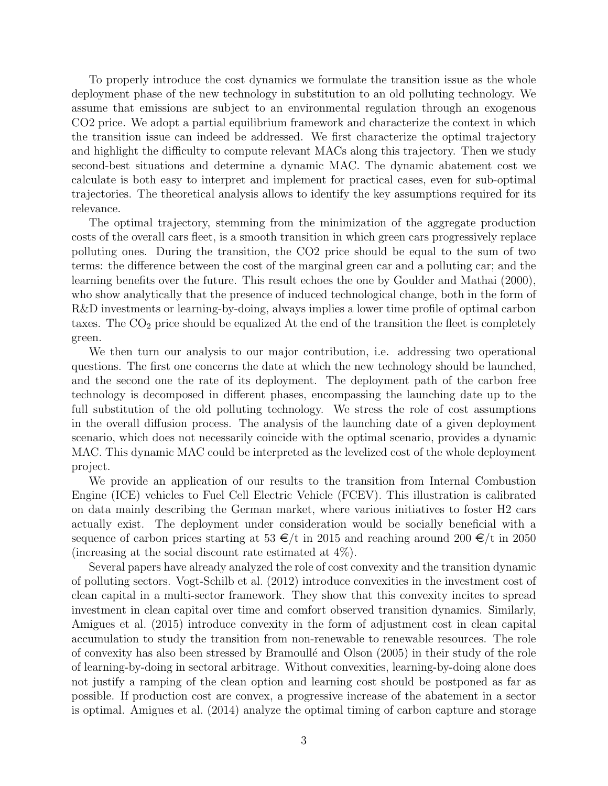To properly introduce the cost dynamics we formulate the transition issue as the whole deployment phase of the new technology in substitution to an old polluting technology. We assume that emissions are subject to an environmental regulation through an exogenous CO2 price. We adopt a partial equilibrium framework and characterize the context in which the transition issue can indeed be addressed. We first characterize the optimal trajectory and highlight the difficulty to compute relevant MACs along this trajectory. Then we study second-best situations and determine a dynamic MAC. The dynamic abatement cost we calculate is both easy to interpret and implement for practical cases, even for sub-optimal trajectories. The theoretical analysis allows to identify the key assumptions required for its relevance.

The optimal trajectory, stemming from the minimization of the aggregate production costs of the overall cars fleet, is a smooth transition in which green cars progressively replace polluting ones. During the transition, the CO2 price should be equal to the sum of two terms: the difference between the cost of the marginal green car and a polluting car; and the learning benefits over the future. This result echoes the one by Goulder and Mathai (2000), who show analytically that the presence of induced technological change, both in the form of R&D investments or learning-by-doing, always implies a lower time profile of optimal carbon taxes. The  $CO<sub>2</sub>$  price should be equalized At the end of the transition the fleet is completely green.

We then turn our analysis to our major contribution, i.e. addressing two operational questions. The first one concerns the date at which the new technology should be launched, and the second one the rate of its deployment. The deployment path of the carbon free technology is decomposed in different phases, encompassing the launching date up to the full substitution of the old polluting technology. We stress the role of cost assumptions in the overall diffusion process. The analysis of the launching date of a given deployment scenario, which does not necessarily coincide with the optimal scenario, provides a dynamic MAC. This dynamic MAC could be interpreted as the levelized cost of the whole deployment project.

We provide an application of our results to the transition from Internal Combustion Engine (ICE) vehicles to Fuel Cell Electric Vehicle (FCEV). This illustration is calibrated on data mainly describing the German market, where various initiatives to foster H2 cars actually exist. The deployment under consideration would be socially beneficial with a sequence of carbon prices starting at  $53 \in \left/\frac{t}{t} \text{ in } 2015 \text{ and reaching around } 200 \in \left/\frac{t}{t} \text{ in } 2050 \text{.} \right.$ (increasing at the social discount rate estimated at 4%).

Several papers have already analyzed the role of cost convexity and the transition dynamic of polluting sectors. Vogt-Schilb et al. (2012) introduce convexities in the investment cost of clean capital in a multi-sector framework. They show that this convexity incites to spread investment in clean capital over time and comfort observed transition dynamics. Similarly, Amigues et al. (2015) introduce convexity in the form of adjustment cost in clean capital accumulation to study the transition from non-renewable to renewable resources. The role of convexity has also been stressed by Bramoull´e and Olson (2005) in their study of the role of learning-by-doing in sectoral arbitrage. Without convexities, learning-by-doing alone does not justify a ramping of the clean option and learning cost should be postponed as far as possible. If production cost are convex, a progressive increase of the abatement in a sector is optimal. Amigues et al. (2014) analyze the optimal timing of carbon capture and storage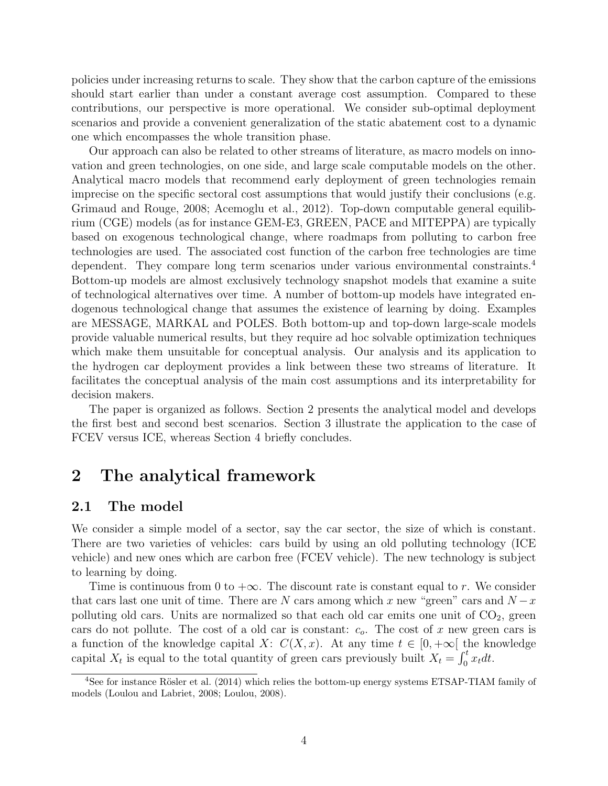policies under increasing returns to scale. They show that the carbon capture of the emissions should start earlier than under a constant average cost assumption. Compared to these contributions, our perspective is more operational. We consider sub-optimal deployment scenarios and provide a convenient generalization of the static abatement cost to a dynamic one which encompasses the whole transition phase.

Our approach can also be related to other streams of literature, as macro models on innovation and green technologies, on one side, and large scale computable models on the other. Analytical macro models that recommend early deployment of green technologies remain imprecise on the specific sectoral cost assumptions that would justify their conclusions (e.g. Grimaud and Rouge, 2008; Acemoglu et al., 2012). Top-down computable general equilibrium (CGE) models (as for instance GEM-E3, GREEN, PACE and MITEPPA) are typically based on exogenous technological change, where roadmaps from polluting to carbon free technologies are used. The associated cost function of the carbon free technologies are time dependent. They compare long term scenarios under various environmental constraints.<sup>4</sup> Bottom-up models are almost exclusively technology snapshot models that examine a suite of technological alternatives over time. A number of bottom-up models have integrated endogenous technological change that assumes the existence of learning by doing. Examples are MESSAGE, MARKAL and POLES. Both bottom-up and top-down large-scale models provide valuable numerical results, but they require ad hoc solvable optimization techniques which make them unsuitable for conceptual analysis. Our analysis and its application to the hydrogen car deployment provides a link between these two streams of literature. It facilitates the conceptual analysis of the main cost assumptions and its interpretability for decision makers.

The paper is organized as follows. Section 2 presents the analytical model and develops the first best and second best scenarios. Section 3 illustrate the application to the case of FCEV versus ICE, whereas Section 4 briefly concludes.

# 2 The analytical framework

### 2.1 The model

We consider a simple model of a sector, say the car sector, the size of which is constant. There are two varieties of vehicles: cars build by using an old polluting technology (ICE vehicle) and new ones which are carbon free (FCEV vehicle). The new technology is subject to learning by doing.

Time is continuous from 0 to  $+\infty$ . The discount rate is constant equal to r. We consider that cars last one unit of time. There are N cars among which x new "green" cars and  $N-x$ polluting old cars. Units are normalized so that each old car emits one unit of  $CO<sub>2</sub>$ , green cars do not pollute. The cost of a old car is constant:  $c<sub>o</sub>$ . The cost of x new green cars is a function of the knowledge capital X:  $C(X, x)$ . At any time  $t \in [0, +\infty[$  the knowledge capital  $X_t$  is equal to the total quantity of green cars previously built  $X_t = \int_0^t x_t dt$ .

 $4$ See for instance Rösler et al. (2014) which relies the bottom-up energy systems ETSAP-TIAM family of models (Loulou and Labriet, 2008; Loulou, 2008).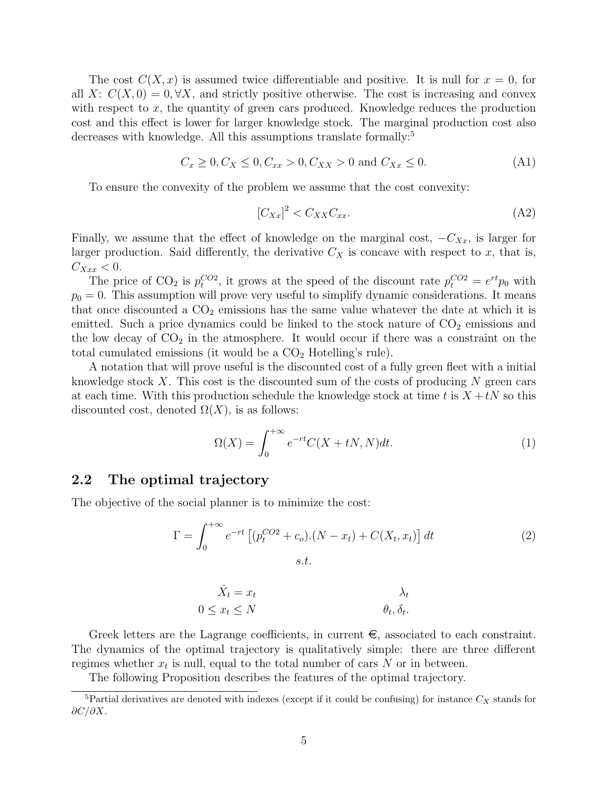The cost  $C(X, x)$  is assumed twice differentiable and positive. It is null for  $x = 0$ , for all X:  $C(X, 0) = 0, \forall X$ , and strictly positive otherwise. The cost is increasing and convex with respect to  $x$ , the quantity of green cars produced. Knowledge reduces the production cost and this effect is lower for larger knowledge stock. The marginal production cost also decreases with knowledge. All this assumptions translate formally:<sup>5</sup>

$$
C_x \ge 0, C_X \le 0, C_{xx} > 0, C_{XX} > 0 \text{ and } C_{Xx} \le 0. \tag{A1}
$$

To ensure the convexity of the problem we assume that the cost convexity:

$$
\left[C_{Xx}\right]^2 < C_{XX}C_{xx}.\tag{A2}
$$

Finally, we assume that the effect of knowledge on the marginal cost,  $-C_{Xx}$ , is larger for larger production. Said differently, the derivative  $C_X$  is concave with respect to x, that is,  $C_{Xxx} < 0.$ 

The price of CO<sub>2</sub> is  $p_t^{CO2}$ , it grows at the speed of the discount rate  $p_t^{CO2} = e^{rt}p_0$  with  $p_0 = 0$ . This assumption will prove very useful to simplify dynamic considerations. It means that once discounted a  $CO<sub>2</sub>$  emissions has the same value whatever the date at which it is emitted. Such a price dynamics could be linked to the stock nature of  $CO<sub>2</sub>$  emissions and the low decay of  $CO_2$  in the atmosphere. It would occur if there was a constraint on the total cumulated emissions (it would be a  $CO<sub>2</sub>$  Hotelling's rule).

A notation that will prove useful is the discounted cost of a fully green fleet with a initial knowledge stock  $X$ . This cost is the discounted sum of the costs of producing  $N$  green cars at each time. With this production schedule the knowledge stock at time t is  $X + tN$  so this discounted cost, denoted  $\Omega(X)$ , is as follows:

$$
\Omega(X) = \int_0^{+\infty} e^{-rt} C(X + tN, N) dt.
$$
 (1)

.

### 2.2 The optimal trajectory

The objective of the social planner is to minimize the cost:

$$
\Gamma = \int_0^{+\infty} e^{-rt} \left[ (p_t^{CO2} + c_o) . (N - x_t) + C(X_t, x_t) \right] dt
$$
\n(2)

$$
\dot{X}_t = x_t \qquad \lambda_t
$$
  

$$
0 \le x_t \le N \qquad \theta_t, \delta_t.
$$

Greek letters are the Lagrange coefficients, in current  $\epsilon$ , associated to each constraint. The dynamics of the optimal trajectory is qualitatively simple: there are three different regimes whether  $x_t$  is null, equal to the total number of cars N or in between.

The following Proposition describes the features of the optimal trajectory.

<sup>&</sup>lt;sup>5</sup>Partial derivatives are denoted with indexes (except if it could be confusing) for instance  $C_X$  stands for  $\partial C/\partial X$ .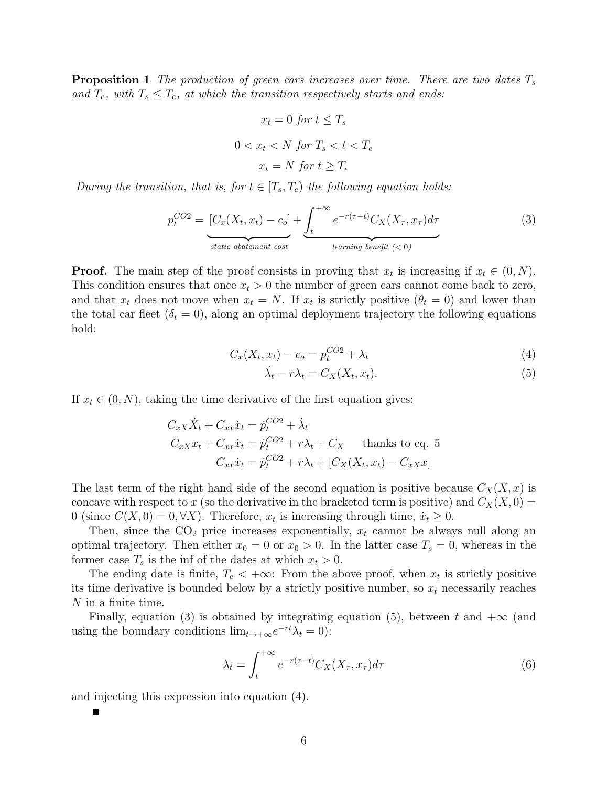**Proposition 1** The production of green cars increases over time. There are two dates  $T_s$ and  $T_e$ , with  $T_s \leq T_e$ , at which the transition respectively starts and ends:

$$
x_t = 0 \text{ for } t \le T_s
$$
  

$$
0 < x_t < N \text{ for } T_s < t < T_e
$$
  

$$
x_t = N \text{ for } t \ge T_e
$$

During the transition, that is, for  $t \in [T_s, T_e)$  the following equation holds:

$$
p_t^{CO2} = \underbrace{[C_x(X_t, x_t) - c_o]}_{static\ abatement\ cost} + \underbrace{\int_t^{+\infty} e^{-r(\tau - t)} C_X(X_\tau, x_\tau) d\tau}_{learning\ benefit\ (< 0)}
$$
\n(3)

**Proof.** The main step of the proof consists in proving that  $x_t$  is increasing if  $x_t \in (0, N)$ . This condition ensures that once  $x<sub>t</sub> > 0$  the number of green cars cannot come back to zero, and that  $x_t$  does not move when  $x_t = N$ . If  $x_t$  is strictly positive  $(\theta_t = 0)$  and lower than the total car fleet  $(\delta_t = 0)$ , along an optimal deployment trajectory the following equations hold:

$$
C_x(X_t, x_t) - c_o = p_t^{CO2} + \lambda_t
$$
\n(4)

$$
\dot{\lambda}_t - r\lambda_t = C_X(X_t, x_t). \tag{5}
$$

If  $x_t \in (0, N)$ , taking the time derivative of the first equation gives:

$$
C_{xX}\dot{X}_t + C_{xx}\dot{x}_t = \dot{p}_t^{CO2} + \dot{\lambda}_t
$$
  
\n
$$
C_{xX}x_t + C_{xx}\dot{x}_t = \dot{p}_t^{CO2} + r\lambda_t + C_X \text{ thanks to eq. 5}
$$
  
\n
$$
C_{xx}\dot{x}_t = \dot{p}_t^{CO2} + r\lambda_t + [C_X(X_t, x_t) - C_{xX}x]
$$

The last term of the right hand side of the second equation is positive because  $C_X(X, x)$  is concave with respect to x (so the derivative in the bracketed term is positive) and  $C_X(X, 0) =$ 0 (since  $C(X, 0) = 0, \forall X$ ). Therefore,  $x_t$  is increasing through time,  $\dot{x}_t \ge 0$ .

Then, since the  $CO<sub>2</sub>$  price increases exponentially,  $x_t$  cannot be always null along an optimal trajectory. Then either  $x_0 = 0$  or  $x_0 > 0$ . In the latter case  $T_s = 0$ , whereas in the former case  $T_s$  is the inf of the dates at which  $x_t > 0$ .

The ending date is finite,  $T_e < +\infty$ : From the above proof, when  $x_t$  is strictly positive its time derivative is bounded below by a strictly positive number, so  $x_t$  necessarily reaches N in a finite time.

Finally, equation (3) is obtained by integrating equation (5), between t and  $+\infty$  (and using the boundary conditions  $\lim_{t\to+\infty}e^{-rt}\lambda_t=0$ :

$$
\lambda_t = \int_t^{+\infty} e^{-r(\tau - t)} C_X(X_\tau, x_\tau) d\tau \tag{6}
$$

and injecting this expression into equation (4).

6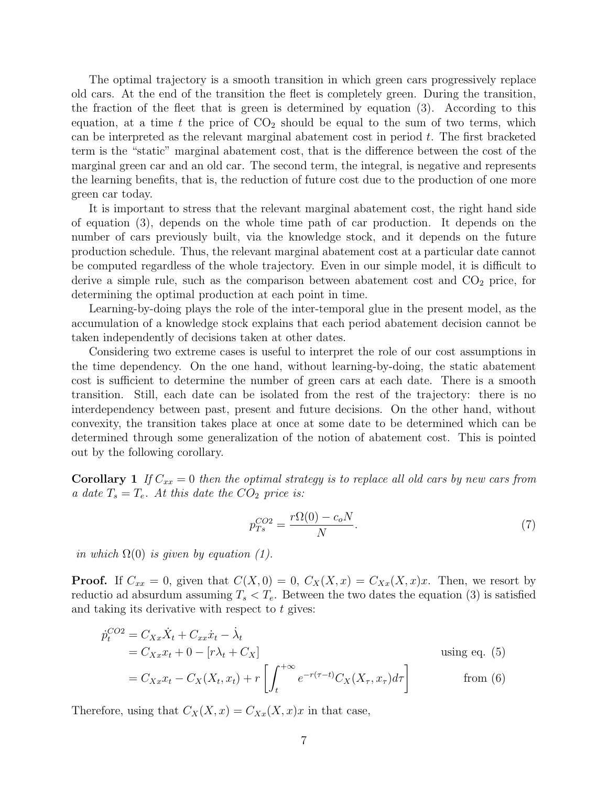The optimal trajectory is a smooth transition in which green cars progressively replace old cars. At the end of the transition the fleet is completely green. During the transition, the fraction of the fleet that is green is determined by equation (3). According to this equation, at a time t the price of  $CO<sub>2</sub>$  should be equal to the sum of two terms, which can be interpreted as the relevant marginal abatement cost in period  $t$ . The first bracketed term is the "static" marginal abatement cost, that is the difference between the cost of the marginal green car and an old car. The second term, the integral, is negative and represents the learning benefits, that is, the reduction of future cost due to the production of one more green car today.

It is important to stress that the relevant marginal abatement cost, the right hand side of equation (3), depends on the whole time path of car production. It depends on the number of cars previously built, via the knowledge stock, and it depends on the future production schedule. Thus, the relevant marginal abatement cost at a particular date cannot be computed regardless of the whole trajectory. Even in our simple model, it is difficult to derive a simple rule, such as the comparison between abatement cost and  $CO<sub>2</sub>$  price, for determining the optimal production at each point in time.

Learning-by-doing plays the role of the inter-temporal glue in the present model, as the accumulation of a knowledge stock explains that each period abatement decision cannot be taken independently of decisions taken at other dates.

Considering two extreme cases is useful to interpret the role of our cost assumptions in the time dependency. On the one hand, without learning-by-doing, the static abatement cost is sufficient to determine the number of green cars at each date. There is a smooth transition. Still, each date can be isolated from the rest of the trajectory: there is no interdependency between past, present and future decisions. On the other hand, without convexity, the transition takes place at once at some date to be determined which can be determined through some generalization of the notion of abatement cost. This is pointed out by the following corollary.

**Corollary 1** If  $C_{xx} = 0$  then the optimal strategy is to replace all old cars by new cars from a date  $T_s = T_e$ . At this date the  $CO_2$  price is:

$$
p_{Ts}^{CO2} = \frac{r\Omega(0) - c_o N}{N}.
$$
\n(7)

in which  $\Omega(0)$  is given by equation (1).

**Proof.** If  $C_{xx} = 0$ , given that  $C(X, 0) = 0$ ,  $C_X(X, x) = C_{Xx}(X, x)x$ . Then, we resort by reductio ad absurdum assuming  $T_s < T_e$ . Between the two dates the equation (3) is satisfied and taking its derivative with respect to  $t$  gives:

$$
\dot{p}_t^{CO2} = C_{Xx}\dot{X}_t + C_{xx}\dot{x}_t - \dot{\lambda}_t
$$
\n
$$
= C_{Xx}x_t + 0 - [r\lambda_t + C_X]
$$
\n
$$
= C_{Xx}x_t - C_X(X_t, x_t) + r \left[ \int_t^{+\infty} e^{-r(\tau - t)} C_X(X_\tau, x_\tau) d\tau \right]
$$
\nusing eq. (5)

\nfrom (6)

Therefore, using that  $C_X(X, x) = C_{Xx}(X, x)x$  in that case,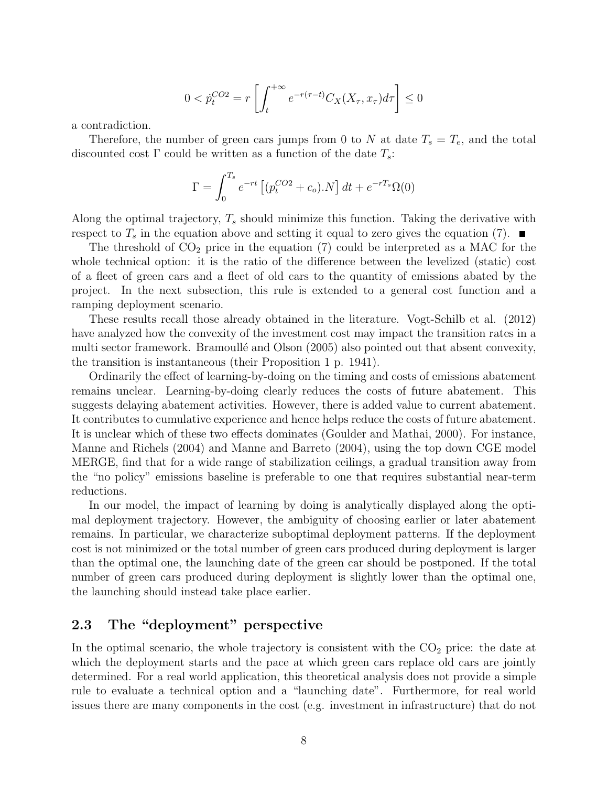$$
0 < \dot{p}_t^{CO2} = r \left[ \int_t^{+\infty} e^{-r(\tau - t)} C_X(X_\tau, x_\tau) d\tau \right] \le 0
$$

a contradiction.

Therefore, the number of green cars jumps from 0 to N at date  $T_s = T_e$ , and the total discounted cost  $\Gamma$  could be written as a function of the date  $T_s$ :

$$
\Gamma = \int_0^{T_s} e^{-rt} \left[ (p_t^{CO2} + c_o) . N \right] dt + e^{-rT_s} \Omega(0)
$$

Along the optimal trajectory,  $T_s$  should minimize this function. Taking the derivative with respect to  $T_s$  in the equation above and setting it equal to zero gives the equation (7).

The threshold of  $CO<sub>2</sub>$  price in the equation (7) could be interpreted as a MAC for the whole technical option: it is the ratio of the difference between the levelized (static) cost of a fleet of green cars and a fleet of old cars to the quantity of emissions abated by the project. In the next subsection, this rule is extended to a general cost function and a ramping deployment scenario.

These results recall those already obtained in the literature. Vogt-Schilb et al. (2012) have analyzed how the convexity of the investment cost may impact the transition rates in a multi sector framework. Bramoullé and Olson (2005) also pointed out that absent convexity, the transition is instantaneous (their Proposition 1 p. 1941).

Ordinarily the effect of learning-by-doing on the timing and costs of emissions abatement remains unclear. Learning-by-doing clearly reduces the costs of future abatement. This suggests delaying abatement activities. However, there is added value to current abatement. It contributes to cumulative experience and hence helps reduce the costs of future abatement. It is unclear which of these two effects dominates (Goulder and Mathai, 2000). For instance, Manne and Richels (2004) and Manne and Barreto (2004), using the top down CGE model MERGE, find that for a wide range of stabilization ceilings, a gradual transition away from the "no policy" emissions baseline is preferable to one that requires substantial near-term reductions.

In our model, the impact of learning by doing is analytically displayed along the optimal deployment trajectory. However, the ambiguity of choosing earlier or later abatement remains. In particular, we characterize suboptimal deployment patterns. If the deployment cost is not minimized or the total number of green cars produced during deployment is larger than the optimal one, the launching date of the green car should be postponed. If the total number of green cars produced during deployment is slightly lower than the optimal one, the launching should instead take place earlier.

### 2.3 The "deployment" perspective

In the optimal scenario, the whole trajectory is consistent with the  $CO<sub>2</sub>$  price: the date at which the deployment starts and the pace at which green cars replace old cars are jointly determined. For a real world application, this theoretical analysis does not provide a simple rule to evaluate a technical option and a "launching date". Furthermore, for real world issues there are many components in the cost (e.g. investment in infrastructure) that do not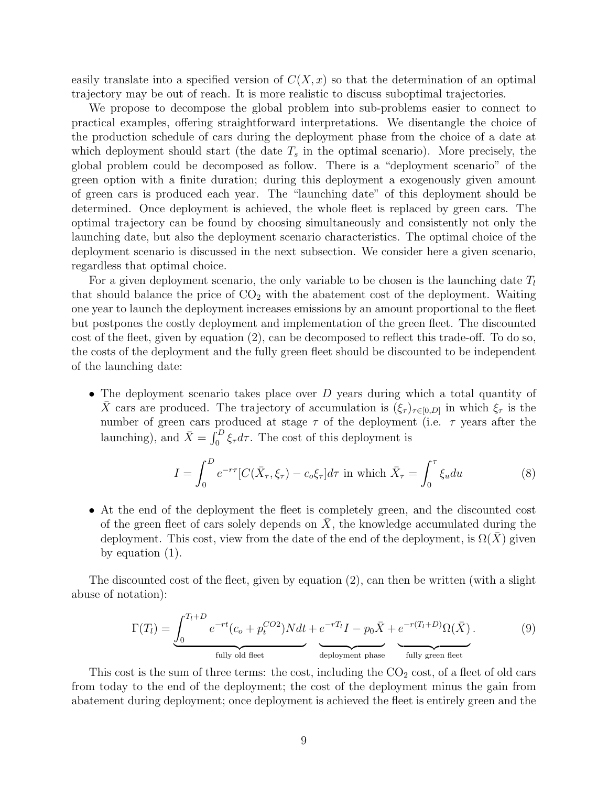easily translate into a specified version of  $C(X, x)$  so that the determination of an optimal trajectory may be out of reach. It is more realistic to discuss suboptimal trajectories.

We propose to decompose the global problem into sub-problems easier to connect to practical examples, offering straightforward interpretations. We disentangle the choice of the production schedule of cars during the deployment phase from the choice of a date at which deployment should start (the date  $T_s$  in the optimal scenario). More precisely, the global problem could be decomposed as follow. There is a "deployment scenario" of the green option with a finite duration; during this deployment a exogenously given amount of green cars is produced each year. The "launching date" of this deployment should be determined. Once deployment is achieved, the whole fleet is replaced by green cars. The optimal trajectory can be found by choosing simultaneously and consistently not only the launching date, but also the deployment scenario characteristics. The optimal choice of the deployment scenario is discussed in the next subsection. We consider here a given scenario, regardless that optimal choice.

For a given deployment scenario, the only variable to be chosen is the launching date  $T_l$ that should balance the price of  $CO<sub>2</sub>$  with the abatement cost of the deployment. Waiting one year to launch the deployment increases emissions by an amount proportional to the fleet but postpones the costly deployment and implementation of the green fleet. The discounted cost of the fleet, given by equation (2), can be decomposed to reflect this trade-off. To do so, the costs of the deployment and the fully green fleet should be discounted to be independent of the launching date:

• The deployment scenario takes place over D years during which a total quantity of  $\bar{X}$  cars are produced. The trajectory of accumulation is  $(\xi_{\tau})_{\tau\in[0,D]}$  in which  $\xi_{\tau}$  is the number of green cars produced at stage  $\tau$  of the deployment (i.e.  $\tau$  years after the launching), and  $\bar{X} = \int_0^D \xi_\tau d\tau$ . The cost of this deployment is

$$
I = \int_0^D e^{-r\tau} [C(\bar{X}_\tau, \xi_\tau) - c_o \xi_\tau] d\tau \text{ in which } \bar{X}_\tau = \int_0^\tau \xi_u du \tag{8}
$$

• At the end of the deployment the fleet is completely green, and the discounted cost of the green fleet of cars solely depends on  $X$ , the knowledge accumulated during the deployment. This cost, view from the date of the end of the deployment, is  $\Omega(X)$  given by equation (1).

The discounted cost of the fleet, given by equation (2), can then be written (with a slight abuse of notation):

$$
\Gamma(T_l) = \underbrace{\int_0^{T_l+D} e^{-rt} (c_o + p_t^{CO2}) N dt}_{\text{fully old fleet}} + \underbrace{e^{-rT_l} I - p_0 \bar{X}}_{\text{deployment phase}} + \underbrace{e^{-r(T_l+D)} \Omega(\bar{X})}_{\text{fully green fleet}}.
$$
\n(9)

This cost is the sum of three terms: the cost, including the  $CO<sub>2</sub>$  cost, of a fleet of old cars from today to the end of the deployment; the cost of the deployment minus the gain from abatement during deployment; once deployment is achieved the fleet is entirely green and the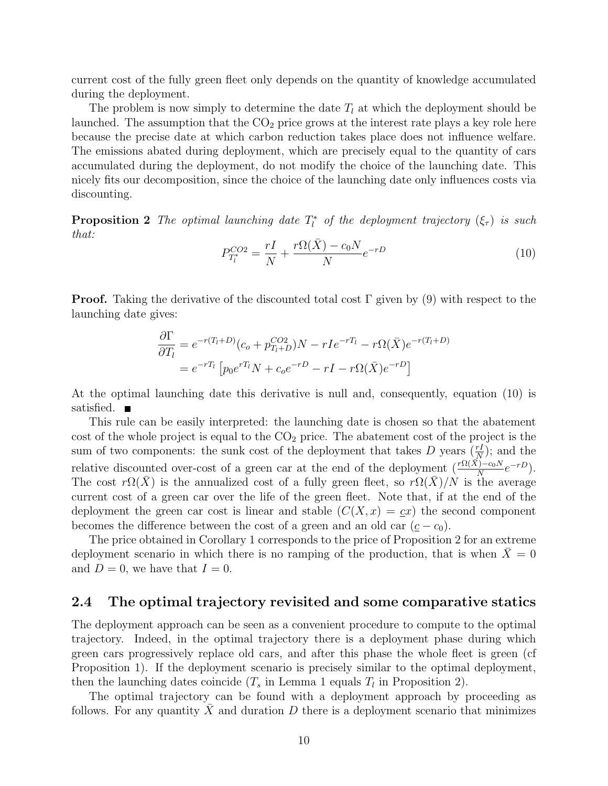current cost of the fully green fleet only depends on the quantity of knowledge accumulated during the deployment.

The problem is now simply to determine the date  $T_l$  at which the deployment should be launched. The assumption that the  $CO<sub>2</sub>$  price grows at the interest rate plays a key role here because the precise date at which carbon reduction takes place does not influence welfare. The emissions abated during deployment, which are precisely equal to the quantity of cars accumulated during the deployment, do not modify the choice of the launching date. This nicely fits our decomposition, since the choice of the launching date only influences costs via discounting.

**Proposition 2** The optimal launching date  $T_l^*$  of the deployment trajectory  $(\xi_{\tau})$  is such that:

$$
P_{T_l^*}^{CO2} = \frac{rI}{N} + \frac{r\Omega(\bar{X}) - c_0 N}{N} e^{-rD}
$$
\n(10)

**Proof.** Taking the derivative of the discounted total cost  $\Gamma$  given by (9) with respect to the launching date gives:

$$
\frac{\partial \Gamma}{\partial T_l} = e^{-r(T_l + D)} (c_o + p_{T_l + D}^{CO2}) N - rI e^{-rT_l} - r\Omega(\bar{X}) e^{-r(T_l + D)}
$$
  
= 
$$
e^{-rT_l} \left[ p_0 e^{rT_l} N + c_o e^{-rD} - rI - r\Omega(\bar{X}) e^{-rD} \right]
$$

At the optimal launching date this derivative is null and, consequently, equation (10) is satisfied.  $\blacksquare$ 

This rule can be easily interpreted: the launching date is chosen so that the abatement cost of the whole project is equal to the  $CO<sub>2</sub>$  price. The abatement cost of the project is the sum of two components: the sunk cost of the deployment that takes D years  $(\frac{rI}{N})$ ; and the relative discounted over-cost of a green car at the end of the deployment  $(\frac{r\Omega(\vec{X})-c_0N}{N}e^{-rD})$ . The cost  $r\Omega(\bar{X})$  is the annualized cost of a fully green fleet, so  $r\Omega(\bar{X})/N$  is the average current cost of a green car over the life of the green fleet. Note that, if at the end of the deployment the green car cost is linear and stable  $(C(X, x) = cx)$  the second component becomes the difference between the cost of a green and an old car  $(\underline{c}-c_0)$ .

The price obtained in Corollary 1 corresponds to the price of Proposition 2 for an extreme deployment scenario in which there is no ramping of the production, that is when  $\bar{X}=0$ and  $D=0$ , we have that  $I=0$ .

#### 2.4 The optimal trajectory revisited and some comparative statics

The deployment approach can be seen as a convenient procedure to compute to the optimal trajectory. Indeed, in the optimal trajectory there is a deployment phase during which green cars progressively replace old cars, and after this phase the whole fleet is green (cf Proposition 1). If the deployment scenario is precisely similar to the optimal deployment, then the launching dates coincide  $(T_s$  in Lemma 1 equals  $T_l$  in Proposition 2).

The optimal trajectory can be found with a deployment approach by proceeding as follows. For any quantity  $\overline{X}$  and duration D there is a deployment scenario that minimizes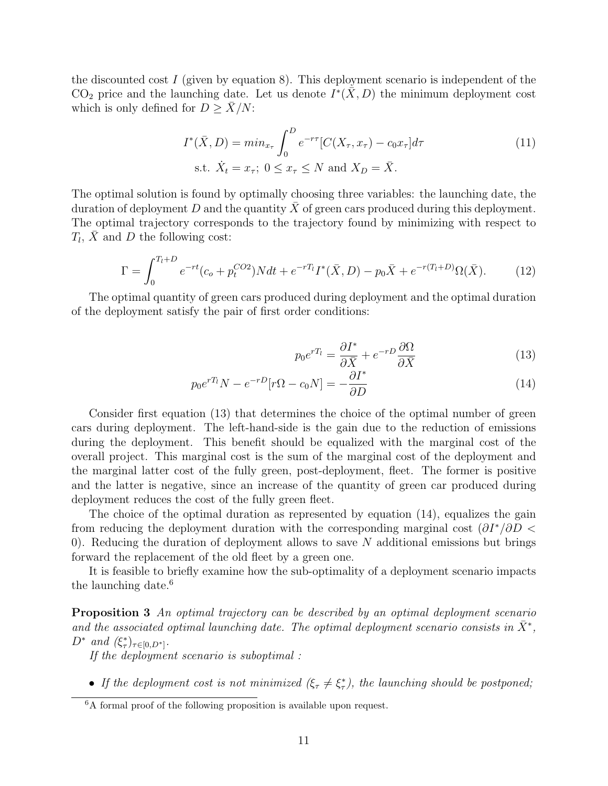the discounted cost  $I$  (given by equation 8). This deployment scenario is independent of the CO<sub>2</sub> price and the launching date. Let us denote  $I^*(\bar{X}, D)$  the minimum deployment cost which is only defined for  $D \geq \overline{X}/N$ :

$$
I^*(\bar{X}, D) = \min_{x_\tau} \int_0^D e^{-r\tau} [C(X_\tau, x_\tau) - c_0 x_\tau] d\tau
$$
  
s.t.  $\dot{X}_t = x_\tau$ ;  $0 \le x_\tau \le N$  and  $X_D = \bar{X}$ . (11)

The optimal solution is found by optimally choosing three variables: the launching date, the duration of deployment  $D$  and the quantity  $X$  of green cars produced during this deployment. The optimal trajectory corresponds to the trajectory found by minimizing with respect to  $T_l$ ,  $\bar{X}$  and D the following cost:

$$
\Gamma = \int_0^{T_l + D} e^{-rt} (c_o + p_t^{CO2}) N dt + e^{-rT_l} I^*(\bar{X}, D) - p_0 \bar{X} + e^{-r(T_l + D)} \Omega(\bar{X}). \tag{12}
$$

The optimal quantity of green cars produced during deployment and the optimal duration of the deployment satisfy the pair of first order conditions:

$$
p_0 e^{rT_l} = \frac{\partial I^*}{\partial \bar{X}} + e^{-rD} \frac{\partial \Omega}{\partial \bar{X}}
$$
(13)

$$
p_0 e^{rT_l} N - e^{-rD} [r \Omega - c_0 N] = -\frac{\partial I^*}{\partial D}
$$
\n(14)

Consider first equation (13) that determines the choice of the optimal number of green cars during deployment. The left-hand-side is the gain due to the reduction of emissions during the deployment. This benefit should be equalized with the marginal cost of the overall project. This marginal cost is the sum of the marginal cost of the deployment and the marginal latter cost of the fully green, post-deployment, fleet. The former is positive and the latter is negative, since an increase of the quantity of green car produced during deployment reduces the cost of the fully green fleet.

The choice of the optimal duration as represented by equation (14), equalizes the gain from reducing the deployment duration with the corresponding marginal cost  $(\partial I^*/\partial D <$ 0). Reducing the duration of deployment allows to save  $N$  additional emissions but brings forward the replacement of the old fleet by a green one.

It is feasible to briefly examine how the sub-optimality of a deployment scenario impacts the launching date. $6$ 

**Proposition 3** An optimal trajectory can be described by an optimal deployment scenario and the associated optimal launching date. The optimal deployment scenario consists in  $\bar{X}^*$ ,  $D^*$  and  $(\xi^*_\tau)_{\tau \in [0, D^*]}$ .

If the deployment scenario is suboptimal :

• If the deployment cost is not minimized  $(\xi_{\tau} \neq \xi_{\tau}^*)$ , the launching should be postponed;

 $6A$  formal proof of the following proposition is available upon request.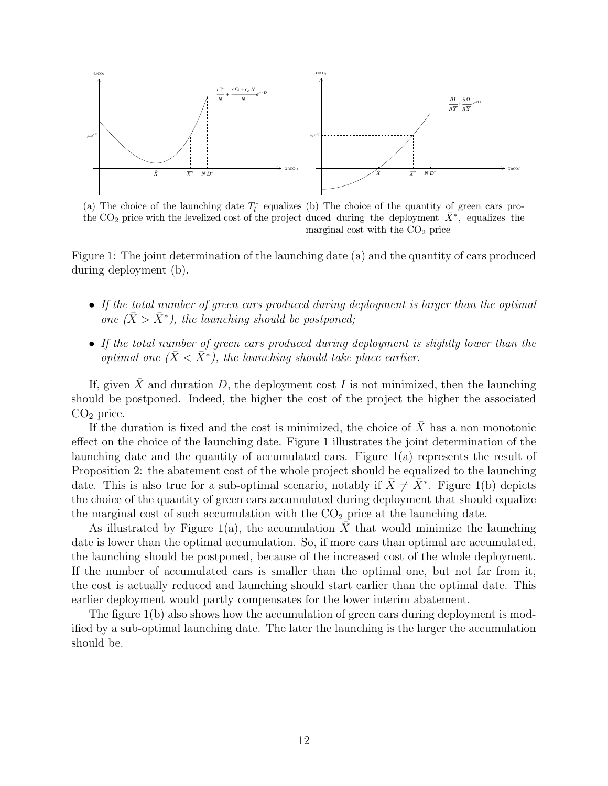

(a) The choice of the launching date  $T_l^*$  equalizes (b) The choice of the quantity of green cars prothe CO<sub>2</sub> price with the levelized cost of the project duced during the deployment  $\bar{X}^*$ , equalizes the marginal cost with the  $CO<sub>2</sub>$  price

Figure 1: The joint determination of the launching date (a) and the quantity of cars produced during deployment (b).

- If the total number of green cars produced during deployment is larger than the optimal one  $(\bar{X} > \bar{X}^*)$ , the launching should be postponed;
- If the total number of green cars produced during deployment is slightly lower than the optimal one  $(\bar{X} < \bar{X}^*)$ , the launching should take place earlier.

If, given  $\bar{X}$  and duration D, the deployment cost I is not minimized, then the launching should be postponed. Indeed, the higher the cost of the project the higher the associated  $CO<sub>2</sub>$  price.

If the duration is fixed and the cost is minimized, the choice of  $\overline{X}$  has a non monotonic effect on the choice of the launching date. Figure 1 illustrates the joint determination of the launching date and the quantity of accumulated cars. Figure 1(a) represents the result of Proposition 2: the abatement cost of the whole project should be equalized to the launching date. This is also true for a sub-optimal scenario, notably if  $\bar{X} \neq \bar{X}^*$ . Figure 1(b) depicts the choice of the quantity of green cars accumulated during deployment that should equalize the marginal cost of such accumulation with the  $CO<sub>2</sub>$  price at the launching date.

As illustrated by Figure 1(a), the accumulation  $\bar{X}$  that would minimize the launching date is lower than the optimal accumulation. So, if more cars than optimal are accumulated, the launching should be postponed, because of the increased cost of the whole deployment. If the number of accumulated cars is smaller than the optimal one, but not far from it, the cost is actually reduced and launching should start earlier than the optimal date. This earlier deployment would partly compensates for the lower interim abatement.

The figure 1(b) also shows how the accumulation of green cars during deployment is modified by a sub-optimal launching date. The later the launching is the larger the accumulation should be.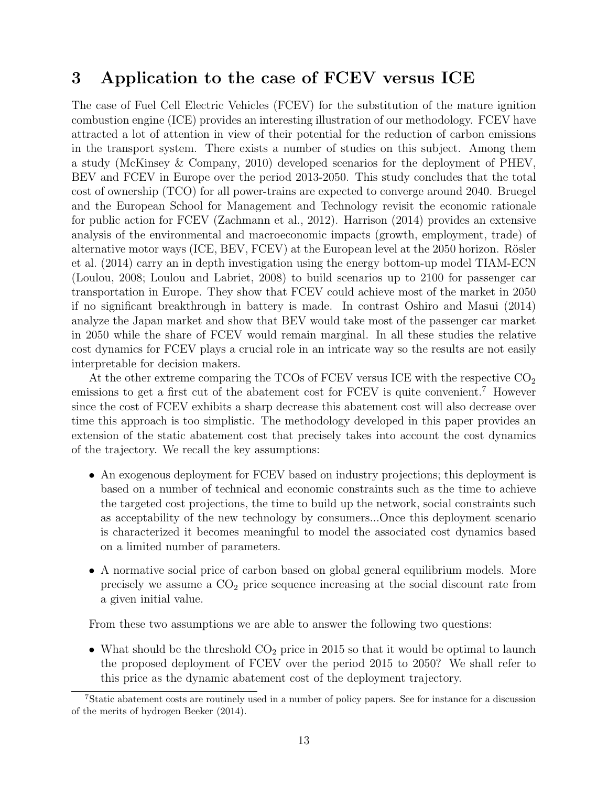# 3 Application to the case of FCEV versus ICE

The case of Fuel Cell Electric Vehicles (FCEV) for the substitution of the mature ignition combustion engine (ICE) provides an interesting illustration of our methodology. FCEV have attracted a lot of attention in view of their potential for the reduction of carbon emissions in the transport system. There exists a number of studies on this subject. Among them a study (McKinsey & Company, 2010) developed scenarios for the deployment of PHEV, BEV and FCEV in Europe over the period 2013-2050. This study concludes that the total cost of ownership (TCO) for all power-trains are expected to converge around 2040. Bruegel and the European School for Management and Technology revisit the economic rationale for public action for FCEV (Zachmann et al., 2012). Harrison (2014) provides an extensive analysis of the environmental and macroeconomic impacts (growth, employment, trade) of alternative motor ways (ICE,  $BEV$ ,  $FCEV$ ) at the European level at the 2050 horizon. Rösler et al. (2014) carry an in depth investigation using the energy bottom-up model TIAM-ECN (Loulou, 2008; Loulou and Labriet, 2008) to build scenarios up to 2100 for passenger car transportation in Europe. They show that FCEV could achieve most of the market in 2050 if no significant breakthrough in battery is made. In contrast Oshiro and Masui (2014) analyze the Japan market and show that BEV would take most of the passenger car market in 2050 while the share of FCEV would remain marginal. In all these studies the relative cost dynamics for FCEV plays a crucial role in an intricate way so the results are not easily interpretable for decision makers.

At the other extreme comparing the TCOs of FCEV versus ICE with the respective  $CO<sub>2</sub>$ emissions to get a first cut of the abatement cost for FCEV is quite convenient.<sup>7</sup> However since the cost of FCEV exhibits a sharp decrease this abatement cost will also decrease over time this approach is too simplistic. The methodology developed in this paper provides an extension of the static abatement cost that precisely takes into account the cost dynamics of the trajectory. We recall the key assumptions:

- An exogenous deployment for FCEV based on industry projections; this deployment is based on a number of technical and economic constraints such as the time to achieve the targeted cost projections, the time to build up the network, social constraints such as acceptability of the new technology by consumers...Once this deployment scenario is characterized it becomes meaningful to model the associated cost dynamics based on a limited number of parameters.
- A normative social price of carbon based on global general equilibrium models. More precisely we assume a  $CO<sub>2</sub>$  price sequence increasing at the social discount rate from a given initial value.

From these two assumptions we are able to answer the following two questions:

• What should be the threshold  $CO<sub>2</sub>$  price in 2015 so that it would be optimal to launch the proposed deployment of FCEV over the period 2015 to 2050? We shall refer to this price as the dynamic abatement cost of the deployment trajectory.

<sup>7</sup>Static abatement costs are routinely used in a number of policy papers. See for instance for a discussion of the merits of hydrogen Beeker (2014).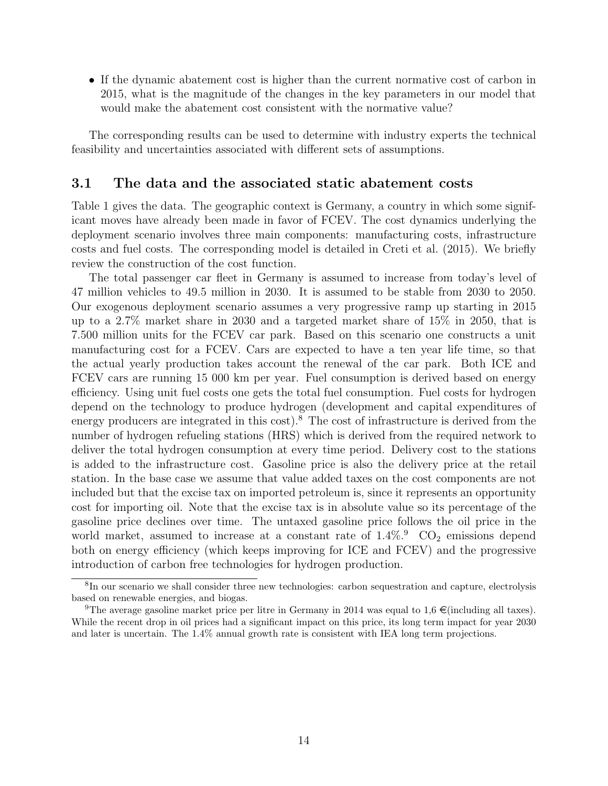• If the dynamic abatement cost is higher than the current normative cost of carbon in 2015, what is the magnitude of the changes in the key parameters in our model that would make the abatement cost consistent with the normative value?

The corresponding results can be used to determine with industry experts the technical feasibility and uncertainties associated with different sets of assumptions.

#### 3.1 The data and the associated static abatement costs

Table 1 gives the data. The geographic context is Germany, a country in which some significant moves have already been made in favor of FCEV. The cost dynamics underlying the deployment scenario involves three main components: manufacturing costs, infrastructure costs and fuel costs. The corresponding model is detailed in Creti et al. (2015). We briefly review the construction of the cost function.

The total passenger car fleet in Germany is assumed to increase from today's level of 47 million vehicles to 49.5 million in 2030. It is assumed to be stable from 2030 to 2050. Our exogenous deployment scenario assumes a very progressive ramp up starting in 2015 up to a 2.7% market share in 2030 and a targeted market share of 15% in 2050, that is 7.500 million units for the FCEV car park. Based on this scenario one constructs a unit manufacturing cost for a FCEV. Cars are expected to have a ten year life time, so that the actual yearly production takes account the renewal of the car park. Both ICE and FCEV cars are running 15 000 km per year. Fuel consumption is derived based on energy efficiency. Using unit fuel costs one gets the total fuel consumption. Fuel costs for hydrogen depend on the technology to produce hydrogen (development and capital expenditures of energy producers are integrated in this cost).<sup>8</sup> The cost of infrastructure is derived from the number of hydrogen refueling stations (HRS) which is derived from the required network to deliver the total hydrogen consumption at every time period. Delivery cost to the stations is added to the infrastructure cost. Gasoline price is also the delivery price at the retail station. In the base case we assume that value added taxes on the cost components are not included but that the excise tax on imported petroleum is, since it represents an opportunity cost for importing oil. Note that the excise tax is in absolute value so its percentage of the gasoline price declines over time. The untaxed gasoline price follows the oil price in the world market, assumed to increase at a constant rate of  $1.4\%$ .  $CO<sub>2</sub>$  emissions depend both on energy efficiency (which keeps improving for ICE and FCEV) and the progressive introduction of carbon free technologies for hydrogen production.

<sup>8</sup> In our scenario we shall consider three new technologies: carbon sequestration and capture, electrolysis based on renewable energies, and biogas.

<sup>&</sup>lt;sup>9</sup>The average gasoline market price per litre in Germany in 2014 was equal to  $1.6 \in \text{(including all taxes)}$ . While the recent drop in oil prices had a significant impact on this price, its long term impact for year 2030 and later is uncertain. The 1.4% annual growth rate is consistent with IEA long term projections.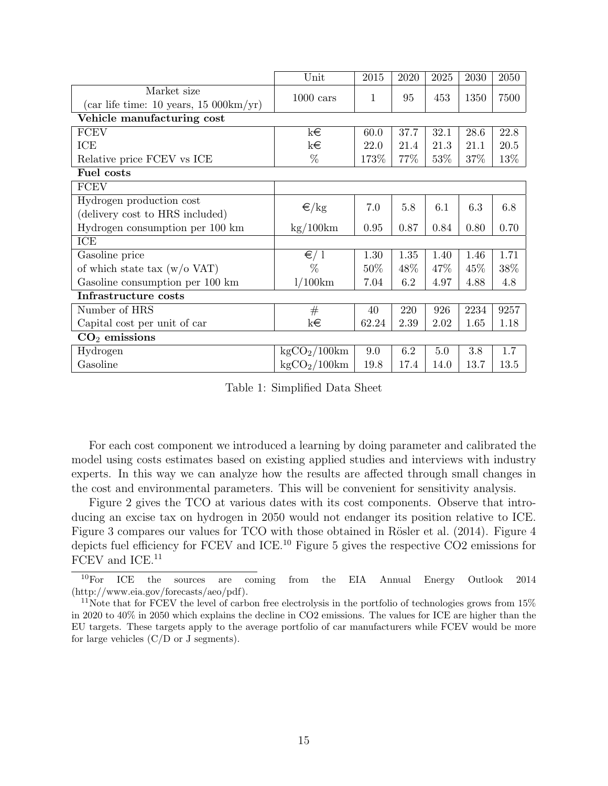|                                                    | Unit                         | 2015  | 2020 | 2025   | 2030 | 2050 |  |  |  |
|----------------------------------------------------|------------------------------|-------|------|--------|------|------|--|--|--|
| Market size                                        |                              | 1     | 95   | 453    | 1350 | 7500 |  |  |  |
| (car life time: 10 years, $15\ 000 \text{km/yr}$ ) | $1000 \text{ cars}$          |       |      |        |      |      |  |  |  |
| Vehicle manufacturing cost                         |                              |       |      |        |      |      |  |  |  |
| <b>FCEV</b>                                        | k€                           | 60.0  | 37.7 | 32.1   | 28.6 | 22.8 |  |  |  |
| ICE                                                | k€                           | 22.0  | 21.4 | 21.3   | 21.1 | 20.5 |  |  |  |
| Relative price FCEV vs ICE                         | %                            | 173\% | 77\% | $53\%$ | 37%  | 13\% |  |  |  |
| Fuel costs                                         |                              |       |      |        |      |      |  |  |  |
| <b>FCEV</b>                                        |                              |       |      |        |      |      |  |  |  |
| Hydrogen production cost                           |                              | 7.0   | 5.8  | 6.1    | 6.3  | 6.8  |  |  |  |
| (delivery cost to HRS included)                    | ∈/kg                         |       |      |        |      |      |  |  |  |
| Hydrogen consumption per 100 km                    | $\text{kg}/100\text{km}$     | 0.95  | 0.87 | 0.84   | 0.80 | 0.70 |  |  |  |
| ICE                                                |                              |       |      |        |      |      |  |  |  |
| Gasoline price                                     | $\epsilon/1$                 | 1.30  | 1.35 | 1.40   | 1.46 | 1.71 |  |  |  |
| of which state tax $(w/o \, \text{VAT})$           | $\%$                         | 50%   | 48\% | 47\%   | 45\% | 38%  |  |  |  |
| Gasoline consumption per 100 km                    | 1/100km                      | 7.04  | 6.2  | 4.97   | 4.88 | 4.8  |  |  |  |
| Infrastructure costs                               |                              |       |      |        |      |      |  |  |  |
| Number of HRS                                      | #                            | 40    | 220  | 926    | 2234 | 9257 |  |  |  |
| Capital cost per unit of car                       | k€                           | 62.24 | 2.39 | 2.02   | 1.65 | 1.18 |  |  |  |
| $CO2$ emissions                                    |                              |       |      |        |      |      |  |  |  |
| Hydrogen                                           | $\text{kgCO}_2/100\text{km}$ | 9.0   | 6.2  | 5.0    | 3.8  | 1.7  |  |  |  |
| Gasoline                                           | $\text{kgCO}_2/100\text{km}$ | 19.8  | 17.4 | 14.0   | 13.7 | 13.5 |  |  |  |

Table 1: Simplified Data Sheet

For each cost component we introduced a learning by doing parameter and calibrated the model using costs estimates based on existing applied studies and interviews with industry experts. In this way we can analyze how the results are affected through small changes in the cost and environmental parameters. This will be convenient for sensitivity analysis.

Figure 2 gives the TCO at various dates with its cost components. Observe that introducing an excise tax on hydrogen in 2050 would not endanger its position relative to ICE. Figure 3 compares our values for TCO with those obtained in Rösler et al. (2014). Figure 4 depicts fuel efficiency for FCEV and ICE.<sup>10</sup> Figure 5 gives the respective CO2 emissions for  $\rm FCEV$  and  $\rm ICE.^{11}$ 

<sup>10</sup>For ICE the sources are coming from the EIA Annual Energy Outlook 2014 (http://www.eia.gov/forecasts/aeo/pdf).

<sup>&</sup>lt;sup>11</sup>Note that for FCEV the level of carbon free electrolysis in the portfolio of technologies grows from  $15\%$ in 2020 to 40% in 2050 which explains the decline in CO2 emissions. The values for ICE are higher than the EU targets. These targets apply to the average portfolio of car manufacturers while FCEV would be more for large vehicles  $(C/D \text{ or } J \text{ segments}).$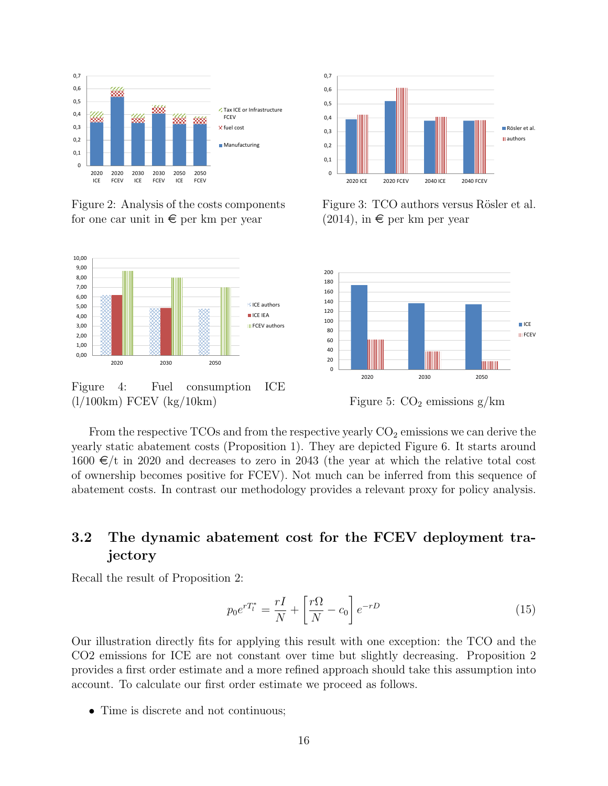

Figure 2: Analysis of the costs components for one car unit in  $\epsilon$  per km per year



Figure 4 4: Fuel consumption ICE (l/100km) FCEV (kg/10km)



Figure 3: TCO authors versus Rösler et al.  $(2014)$ , in  $\epsilon$  per km per year



Figure 5:  $CO<sub>2</sub>$  emissions g/km

From the respective TCOs and from the respective yearly  $CO<sub>2</sub>$  emissions we can derive the yearly static abatement costs (Proposition 1). They are depicted Figure 6. It starts around 1600  $\in/t$  in 2020 and decreases to zero in 2043 (the year at which the relative total cost of ownership becomes positive for FCEV). Not much can be inferred from this sequence of abatement costs. In contrast our methodology provides a relevant proxy for policy analysis.

## 3.2 The dynamic abatement cost for the FCEV deployment trajectory

Recall the result of Proposition 2:

$$
p_0 e^{rT_l^*} = \frac{rI}{N} + \left[\frac{r\Omega}{N} - c_0\right] e^{-rD} \tag{15}
$$

Our illustration directly fits for applying this result with one exception: the TCO and the CO2 emissions for ICE are not constant over time but slightly decreasing. Proposition 2 provides a first order estimate and a more refined approach should take this assumption into account. To calculate our first order estimate we proceed as follows.

• Time is discrete and not continuous;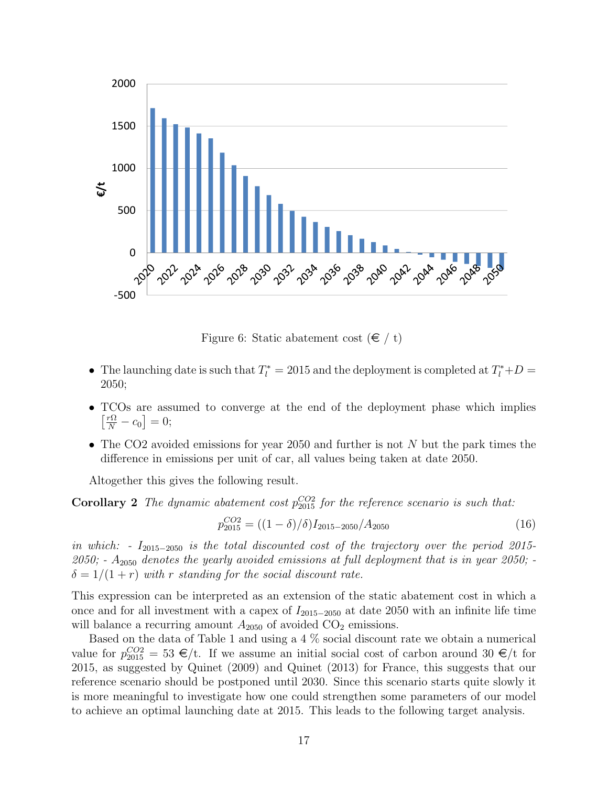

Figure 6: Static abatement cost  $(\epsilon / t)$ 

- The launching date is such that  $T_l^* = 2015$  and the deployment is completed at  $T_l^* + D =$ 2050;
- TCOs are assumed to converge at the end of the deployment phase which implies  $\left[\frac{r\Omega}{N} - c_0\right] = 0;$
- The CO2 avoided emissions for year 2050 and further is not N but the park times the difference in emissions per unit of car, all values being taken at date 2050.

Altogether this gives the following result.

**Corollary 2** The dynamic abatement cost  $p_{2015}^{CO2}$  for the reference scenario is such that:

$$
p_{2015}^{CO2} = ((1 - \delta)/\delta)I_{2015 - 2050}/A_{2050}
$$
\n(16)

in which: -  $I_{2015-2050}$  is the total discounted cost of the trajectory over the period 2015- $2050$ ;  $- A_{2050}$  denotes the yearly avoided emissions at full deployment that is in year 2050;  $\delta = 1/(1+r)$  with r standing for the social discount rate.

This expression can be interpreted as an extension of the static abatement cost in which a once and for all investment with a capex of  $I_{2015-2050}$  at date 2050 with an infinite life time will balance a recurring amount  $A_{2050}$  of avoided  $CO_2$  emissions.

Based on the data of Table 1 and using a 4 % social discount rate we obtain a numerical value for  $p_{2015}^{CO2} = 53 \epsilon/t$ . If we assume an initial social cost of carbon around 30  $\epsilon/t$  for 2015, as suggested by Quinet (2009) and Quinet (2013) for France, this suggests that our reference scenario should be postponed until 2030. Since this scenario starts quite slowly it is more meaningful to investigate how one could strengthen some parameters of our model to achieve an optimal launching date at 2015. This leads to the following target analysis.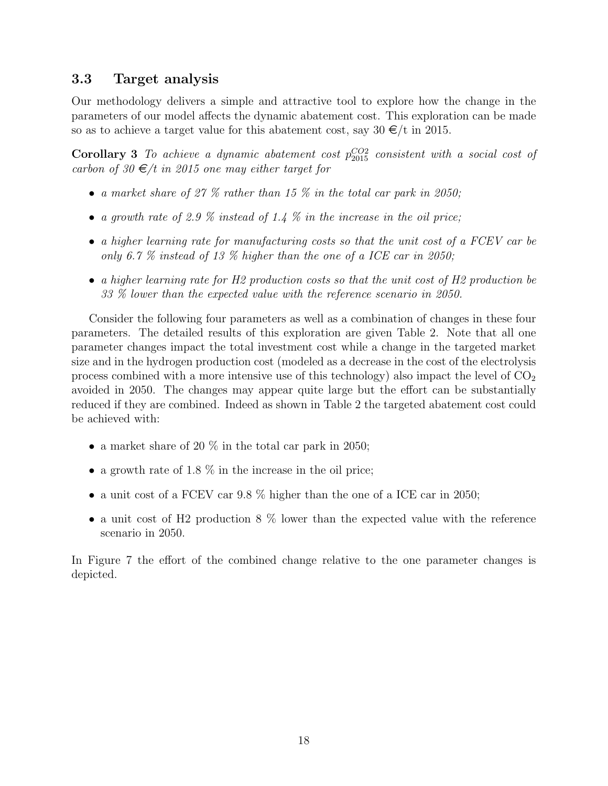### 3.3 Target analysis

Our methodology delivers a simple and attractive tool to explore how the change in the parameters of our model affects the dynamic abatement cost. This exploration can be made so as to achieve a target value for this abatement cost, say  $30 \in/t$  in 2015.

Corollary 3 To achieve a dynamic abatement cost  $p_{2015}^{CO2}$  consistent with a social cost of carbon of 30  $\epsilon/t$  in 2015 one may either target for

- a market share of 27  $\%$  rather than 15  $\%$  in the total car park in 2050;
- a growth rate of 2.9  $\%$  instead of 1.4  $\%$  in the increase in the oil price;
- a higher learning rate for manufacturing costs so that the unit cost of a FCEV car be only 6.7 % instead of 13 % higher than the one of a ICE car in 2050;
- a higher learning rate for H2 production costs so that the unit cost of H2 production be 33 % lower than the expected value with the reference scenario in 2050.

Consider the following four parameters as well as a combination of changes in these four parameters. The detailed results of this exploration are given Table 2. Note that all one parameter changes impact the total investment cost while a change in the targeted market size and in the hydrogen production cost (modeled as a decrease in the cost of the electrolysis process combined with a more intensive use of this technology) also impact the level of  $CO<sub>2</sub>$ avoided in 2050. The changes may appear quite large but the effort can be substantially reduced if they are combined. Indeed as shown in Table 2 the targeted abatement cost could be achieved with:

- a market share of 20  $\%$  in the total car park in 2050;
- a growth rate of 1.8  $\%$  in the increase in the oil price;
- a unit cost of a FCEV car 9.8 % higher than the one of a ICE car in 2050;
- a unit cost of H2 production 8  $\%$  lower than the expected value with the reference scenario in 2050.

In Figure 7 the effort of the combined change relative to the one parameter changes is depicted.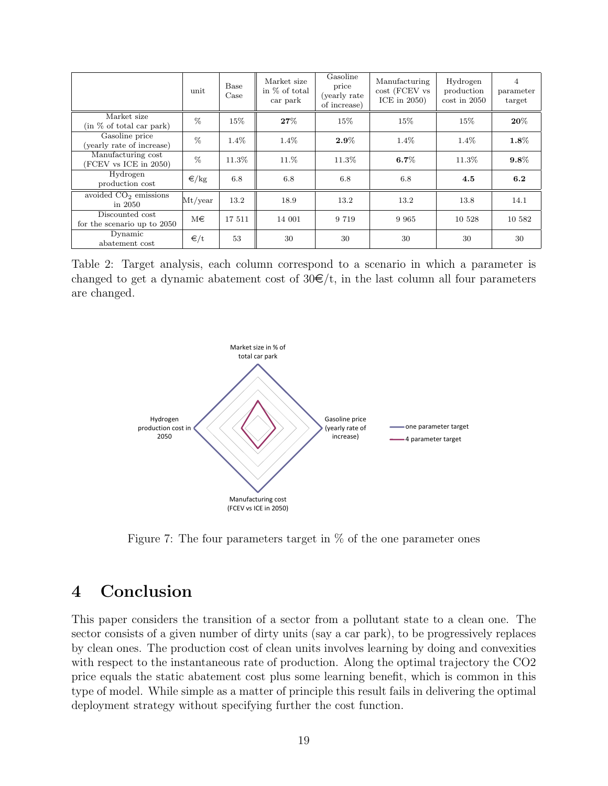|                                                | unit           | Base<br>Case | Market size<br>in % of total<br>car park | Gasoline<br>price<br>(yearly rate)<br>of increase) | Manufacturing<br>cost (FCEV vs<br>ICE in $2050$ ) | Hydrogen<br>production<br>$\cos t$ in 2050 | $\overline{4}$<br>parameter<br>target |
|------------------------------------------------|----------------|--------------|------------------------------------------|----------------------------------------------------|---------------------------------------------------|--------------------------------------------|---------------------------------------|
| Market size<br>(in % of total car park)        | $\%$           | 15%          | 27%                                      | 15%                                                | 15%                                               | $15\%$                                     | $\boldsymbol{20\%}$                   |
| Gasoline price<br>(yearly rate of increase)    | $\%$           | 1.4%         | $1.4\%$                                  | $2.9\%$                                            | $1.4\%$                                           | $1.4\%$                                    | $1.8\%$                               |
| Manufacturing cost<br>(FCEV vs ICE in 2050)    | $\%$           | 11.3%        | 11.%                                     | 11.3%                                              | $6.7\%$                                           | 11.3%                                      | $9.8\%$                               |
| Hydrogen<br>production cost                    | $\epsilon$ /kg | 6.8          | 6.8                                      | 6.8                                                | 6.8                                               | 4.5                                        | 6.2                                   |
| avoided $CO2$ emissions<br>in 2050             | Mt/year        | 13.2         | 18.9                                     | 13.2                                               | 13.2                                              | 13.8                                       | 14.1                                  |
| Discounted cost<br>for the scenario up to 2050 | M€             | 17 511       | 14 001                                   | 9 7 1 9                                            | 9 9 6 5                                           | 10 528                                     | 10 582                                |
| Dynamic<br>abatement cost                      | ∈/t            | 53           | 30                                       | 30                                                 | 30                                                | 30                                         | 30                                    |

Table 2: Target analysis, each column correspond to a scenario in which a parameter is changed to get a dynamic abatement cost of  $30\epsilon/t$ , in the last column all four parameters are changed.



Figure 7: The four parameters target in  $\%$  of the one parameter ones

# 4 Conclusion

This paper considers the transition of a sector from a pollutant state to a clean one. The sector consists of a given number of dirty units (say a car park), to be progressively replaces by clean ones. The production cost of clean units involves learning by doing and convexities with respect to the instantaneous rate of production. Along the optimal trajectory the CO2 price equals the static abatement cost plus some learning benefit, which is common in this type of model. While simple as a matter of principle this result fails in delivering the optimal deployment strategy without specifying further the cost function.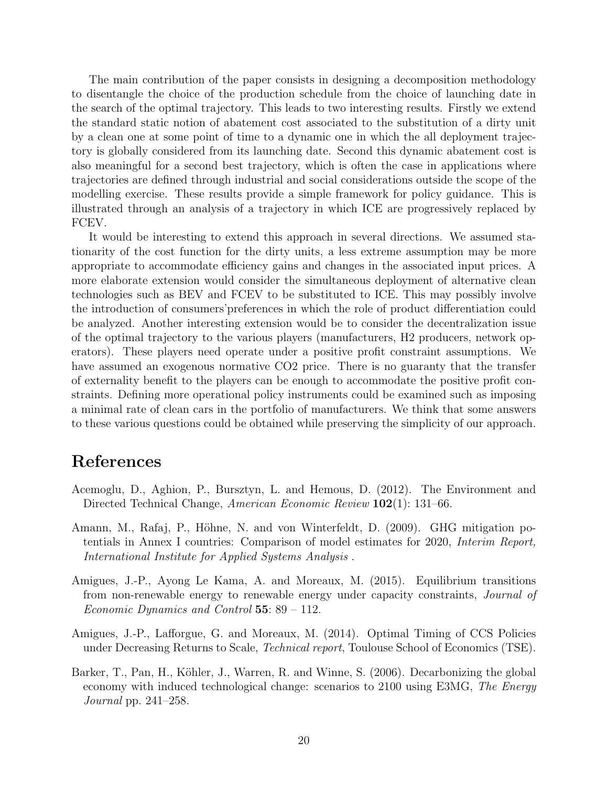The main contribution of the paper consists in designing a decomposition methodology to disentangle the choice of the production schedule from the choice of launching date in the search of the optimal trajectory. This leads to two interesting results. Firstly we extend the standard static notion of abatement cost associated to the substitution of a dirty unit by a clean one at some point of time to a dynamic one in which the all deployment trajectory is globally considered from its launching date. Second this dynamic abatement cost is also meaningful for a second best trajectory, which is often the case in applications where trajectories are defined through industrial and social considerations outside the scope of the modelling exercise. These results provide a simple framework for policy guidance. This is illustrated through an analysis of a trajectory in which ICE are progressively replaced by FCEV.

It would be interesting to extend this approach in several directions. We assumed stationarity of the cost function for the dirty units, a less extreme assumption may be more appropriate to accommodate efficiency gains and changes in the associated input prices. A more elaborate extension would consider the simultaneous deployment of alternative clean technologies such as BEV and FCEV to be substituted to ICE. This may possibly involve the introduction of consumers'preferences in which the role of product differentiation could be analyzed. Another interesting extension would be to consider the decentralization issue of the optimal trajectory to the various players (manufacturers, H2 producers, network operators). These players need operate under a positive profit constraint assumptions. We have assumed an exogenous normative CO2 price. There is no guaranty that the transfer of externality benefit to the players can be enough to accommodate the positive profit constraints. Defining more operational policy instruments could be examined such as imposing a minimal rate of clean cars in the portfolio of manufacturers. We think that some answers to these various questions could be obtained while preserving the simplicity of our approach.

## References

- Acemoglu, D., Aghion, P., Bursztyn, L. and Hemous, D. (2012). The Environment and Directed Technical Change, American Economic Review 102(1): 131–66.
- Amann, M., Rafaj, P., Höhne, N. and von Winterfeldt, D. (2009). GHG mitigation potentials in Annex I countries: Comparison of model estimates for 2020, Interim Report, International Institute for Applied Systems Analysis .
- Amigues, J.-P., Ayong Le Kama, A. and Moreaux, M. (2015). Equilibrium transitions from non-renewable energy to renewable energy under capacity constraints, Journal of Economic Dynamics and Control 55:  $89 - 112$ .
- Amigues, J.-P., Lafforgue, G. and Moreaux, M. (2014). Optimal Timing of CCS Policies under Decreasing Returns to Scale, *Technical report*, Toulouse School of Economics (TSE).
- Barker, T., Pan, H., Köhler, J., Warren, R. and Winne, S. (2006). Decarbonizing the global economy with induced technological change: scenarios to 2100 using E3MG, The Energy Journal pp. 241–258.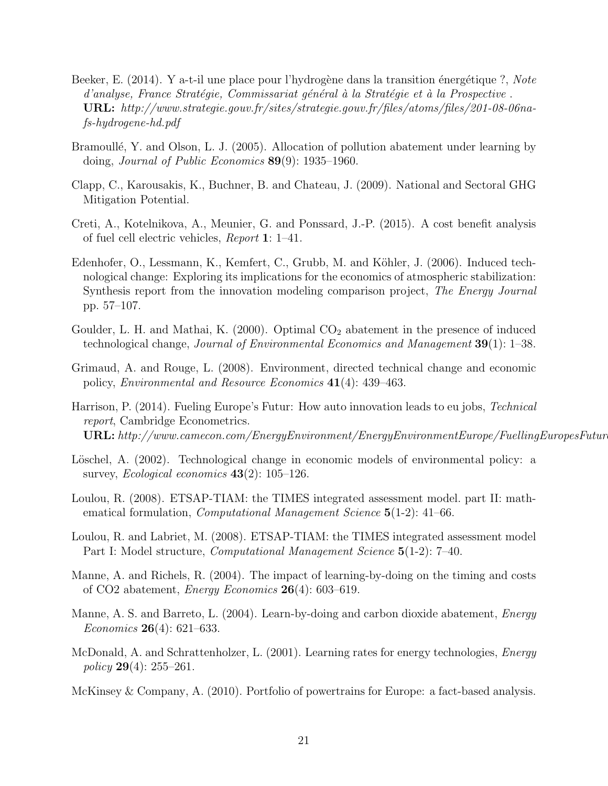- Beeker, E. (2014). Y a-t-il une place pour l'hydrogène dans la transition énergétique ?, Note  $d'analyse$ , France Stratégie, Commissariat général à la Stratégie et à la Prospective. URL: http://www.strategie.gouv.fr/sites/strategie.gouv.fr/files/atoms/files/201-08-06nafs-hydrogene-hd.pdf
- Bramoullé, Y. and Olson, L. J. (2005). Allocation of pollution abatement under learning by doing, Journal of Public Economics 89(9): 1935–1960.
- Clapp, C., Karousakis, K., Buchner, B. and Chateau, J. (2009). National and Sectoral GHG Mitigation Potential.
- Creti, A., Kotelnikova, A., Meunier, G. and Ponssard, J.-P. (2015). A cost benefit analysis of fuel cell electric vehicles, Report 1: 1–41.
- Edenhofer, O., Lessmann, K., Kemfert, C., Grubb, M. and Köhler, J. (2006). Induced technological change: Exploring its implications for the economics of atmospheric stabilization: Synthesis report from the innovation modeling comparison project, The Energy Journal pp. 57–107.
- Goulder, L. H. and Mathai, K.  $(2000)$ . Optimal  $CO<sub>2</sub>$  abatement in the presence of induced technological change, Journal of Environmental Economics and Management 39(1): 1–38.
- Grimaud, A. and Rouge, L. (2008). Environment, directed technical change and economic policy, Environmental and Resource Economics 41(4): 439–463.
- Harrison, P. (2014). Fueling Europe's Futur: How auto innovation leads to eu jobs, *Technical* report, Cambridge Econometrics.  $\textbf{URL}: \textit{http://www.camecon.com/EnergyEnvironment/EnergyEnvironmentEuropean.}$
- Löschel, A. (2002). Technological change in economic models of environmental policy: a survey, *Ecological economics*  $43(2)$ : 105–126.
- Loulou, R. (2008). ETSAP-TIAM: the TIMES integrated assessment model. part II: mathematical formulation, *Computational Management Science* 5(1-2): 41–66.
- Loulou, R. and Labriet, M. (2008). ETSAP-TIAM: the TIMES integrated assessment model Part I: Model structure, *Computational Management Science* 5(1-2): 7–40.
- Manne, A. and Richels, R. (2004). The impact of learning-by-doing on the timing and costs of CO2 abatement, *Energy Economics*  $26(4)$ : 603–619.
- Manne, A. S. and Barreto, L. (2004). Learn-by-doing and carbon dioxide abatement, *Energy* Economics 26(4): 621–633.
- McDonald, A. and Schrattenholzer, L. (2001). Learning rates for energy technologies, *Energy* policy **29**(4):  $255-261$ .
- McKinsey & Company, A. (2010). Portfolio of powertrains for Europe: a fact-based analysis.